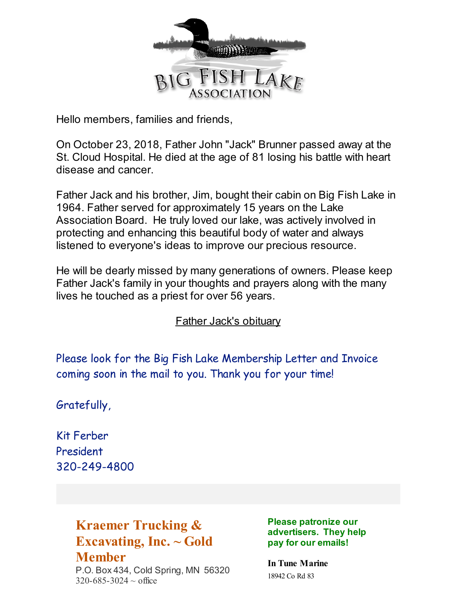

Hello members, families and friends,

On October 23, 2018, Father John "Jack" Brunner passed away at the St. Cloud Hospital. He died at the age of 81 losing his battle with heart disease and cancer.

Father Jack and his brother, Jim, bought their cabin on Big Fish Lake in 1964. Father served for approximately 15 years on the Lake Association Board. He truly loved our lake, was actively involved in protecting and enhancing this beautiful body of water and always listened to everyone's ideas to improve our precious resource.

He will be dearly missed by many generations of owners. Please keep Father Jack's family in your thoughts and prayers along with the many lives he touched as a priest for over 56 years.

Father Jack's [obituary](https://www.johnsonhagglund.com/notices/FrJack-Brunner)

Please look for the Big Fish Lake Membership Letter and Invoice coming soon in the mail to you. Thank you for your time!

Gratefully,

Kit Ferber President 320-249-4800

# **Kraemer Trucking & Excavating, Inc. ~ Gold Member**

P.O. Box 434, Cold Spring, MN 56320  $320 - 685 - 3024 \sim$  office

**Please patronize our advertisers. They help pay for our emails!**

**In Tune Marine** 18942 Co Rd 83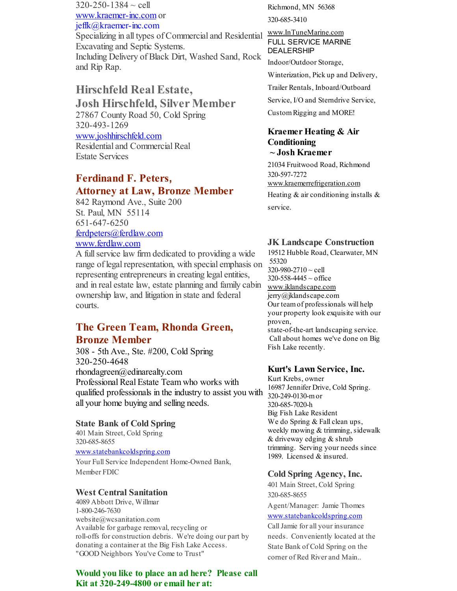$320 - 250 - 1384 \sim$  cell [www.kraemer-inc.com](http://www.kraemer-inc.com) or jeffk@kraemer-inc.com Specializing in all types of Commercial and Residential Excavating and Septic Systems. Including Delivery of Black Dirt, Washed Sand, Rock and Rip Rap.

## **Hirschfeld Real Estate,**

**Josh Hirschfeld, Silver Member** 27867 County Road 50, Cold Spring 320-493-1269 [www.joshhirschfeld.com](http://www.joshhirschfeld.com) Residential and Commercial Real Estate Services

### **Ferdinand F. Peters, Attorney at Law, Bronze Member**

842 Raymond Ave., Suite 200 St. Paul, MN 55114 651-647-6250 [ferdpeters@ferdlaw.com](mailto:ferdpeters@ferdlaw.com) [www.ferdlaw.com](http://www.ferdlaw.com)

A fullservice law firm dedicated to providing a wide range of legal representation, with special emphasis on representing entrepreneurs in creating legal entities, and in real estate law, estate planning and family cabin ownership law, and litigation in state and federal courts.

## **The Green Team, Rhonda Green, Bronze Member**

308 - 5th Ave., Ste. #200, Cold Spring 320-250-4648 rhondagreen@edinarealty.com Professional Real Estate Team who works with qualified professionals in the industry to assist you with all your home buying and selling needs.

#### **State Bank of Cold Spring**

401 Main Street, Cold Spring 320-685-8655

[www.statebankcoldspring.com](http://www.statebankcoldspring.com)

Your Full Service Independent Home-Owned Bank, Member FDIC

#### **West Central Sanitation**

4089 Abbott Drive, Willmar 1-800-246-7630 website@wcsanitation.com Available for garbage removal, recycling or roll-offs for construction debris. We're doing our part by donating a container at the Big Fish Lake Access. "GOOD Neighbors You've Come to Trust"

**Would you like to place an ad here? Please call Kit at 320-249-4800 or email her at:**

Richmond, MN 56368 320-685-3410

#### [www.InTuneMarine.com](http://www.intunemarine.com) FULL SERVICE MARINE DEALERSHIP

Indoor/Outdoor Storage, Winterization, Pick up and Delivery, Trailer Rentals, Inboard/Outboard Service, I/O and Sterndrive Service, CustomRigging and MORE!

#### **Kraemer Heating & Air Conditioning ~ Josh Kraemer**

21034 Fruitwood Road, Richmond 320-597-7272 [www.kraemerrefrigeration.com](http://www.kraemerrefrigeration.com) Heating  $&$  air conditioning installs  $&$ service.

#### **JK Landscape Construction**

19512 Hubble Road, Clearwater, MN 55320  $320 - 980 - 2710 \sim$  cell 320-558-4445 ~ office [www.jklandscape.com](http://www.jklandscape.com) jerry@jklandscape.com Our teamof professionals will help your property look exquisite with our proven, state-of-the-art landscaping service. Call about homes we've done on Big Fish Lake recently.

#### **Kurt's Lawn Service, Inc.**

Kurt Krebs, owner 16987 Jennifer Drive, Cold Spring. 320-249-0130-mor 320-685-7020-h Big Fish Lake Resident We do Spring & Fall clean ups, weekly mowing & trimming, sidewalk & driveway edging & shrub trimming. Serving your needs since 1989. Licensed & insured.

#### **Cold Spring Agency, Inc.**

401 Main Street, Cold Spring 320-685-8655

Agent/Manager: Jamie Thomes [www.statebankcoldspring.com](http://www.statebankcoldspring.com)

Call Jamie for all your insurance needs. Conveniently located at the State Bank of Cold Spring on the corner of Red River and Main..